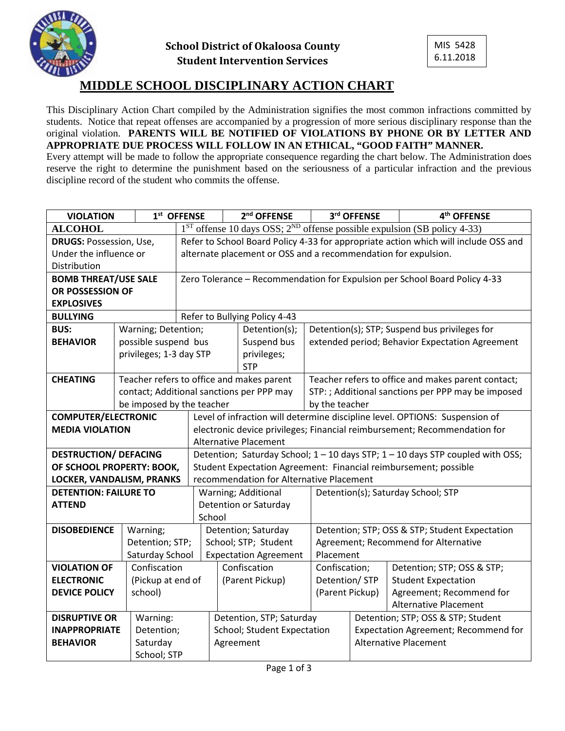



## **MIDDLE SCHOOL DISCIPLINARY ACTION CHART**

This Disciplinary Action Chart compiled by the Administration signifies the most common infractions committed by students. Notice that repeat offenses are accompanied by a progression of more serious disciplinary response than the original violation. **PARENTS WILL BE NOTIFIED OF VIOLATIONS BY PHONE OR BY LETTER AND APPROPRIATE DUE PROCESS WILL FOLLOW IN AN ETHICAL, "GOOD FAITH" MANNER.**

Every attempt will be made to follow the appropriate consequence regarding the chart below. The Administration does reserve the right to determine the punishment based on the seriousness of a particular infraction and the previous discipline record of the student who commits the offense.

|                                | <b>VIOLATION</b>          |                         | 1st OFFENSE                                                                         |                              | 2 <sup>nd</sup> OFFENSE                   |                                                    | 3rd OFFENSE                                        | 4 <sup>th</sup> OFFENSE              |  |  |  |
|--------------------------------|---------------------------|-------------------------|-------------------------------------------------------------------------------------|------------------------------|-------------------------------------------|----------------------------------------------------|----------------------------------------------------|--------------------------------------|--|--|--|
| <b>ALCOHOL</b>                 |                           |                         | $1^{ST}$ offense 10 days OSS; $2^{ND}$ offense possible expulsion (SB policy 4-33)  |                              |                                           |                                                    |                                                    |                                      |  |  |  |
| <b>DRUGS: Possession, Use,</b> |                           |                         | Refer to School Board Policy 4-33 for appropriate action which will include OSS and |                              |                                           |                                                    |                                                    |                                      |  |  |  |
| Under the influence or         |                           |                         | alternate placement or OSS and a recommendation for expulsion.                      |                              |                                           |                                                    |                                                    |                                      |  |  |  |
| Distribution                   |                           |                         |                                                                                     |                              |                                           |                                                    |                                                    |                                      |  |  |  |
| <b>BOMB THREAT/USE SALE</b>    |                           |                         | Zero Tolerance - Recommendation for Expulsion per School Board Policy 4-33          |                              |                                           |                                                    |                                                    |                                      |  |  |  |
| OR POSSESSION OF               |                           |                         |                                                                                     |                              |                                           |                                                    |                                                    |                                      |  |  |  |
| <b>EXPLOSIVES</b>              |                           |                         |                                                                                     |                              |                                           |                                                    |                                                    |                                      |  |  |  |
| <b>BULLYING</b>                |                           |                         | Refer to Bullying Policy 4-43                                                       |                              |                                           |                                                    |                                                    |                                      |  |  |  |
| <b>BUS:</b>                    |                           | Warning; Detention;     |                                                                                     |                              | Detention(s);                             |                                                    | Detention(s); STP; Suspend bus privileges for      |                                      |  |  |  |
| <b>BEHAVIOR</b>                |                           | possible suspend bus    |                                                                                     |                              | Suspend bus                               |                                                    | extended period; Behavior Expectation Agreement    |                                      |  |  |  |
|                                |                           | privileges; 1-3 day STP |                                                                                     |                              | privileges;                               |                                                    |                                                    |                                      |  |  |  |
|                                |                           |                         |                                                                                     |                              | <b>STP</b>                                |                                                    |                                                    |                                      |  |  |  |
| <b>CHEATING</b>                |                           |                         |                                                                                     |                              | Teacher refers to office and makes parent | Teacher refers to office and makes parent contact; |                                                    |                                      |  |  |  |
|                                |                           |                         |                                                                                     |                              | contact; Additional sanctions per PPP may |                                                    | STP: ; Additional sanctions per PPP may be imposed |                                      |  |  |  |
|                                | be imposed by the teacher |                         |                                                                                     |                              | by the teacher                            |                                                    |                                                    |                                      |  |  |  |
| <b>COMPUTER/ELECTRONIC</b>     |                           |                         | Level of infraction will determine discipline level. OPTIONS: Suspension of         |                              |                                           |                                                    |                                                    |                                      |  |  |  |
| <b>MEDIA VIOLATION</b>         |                           |                         | electronic device privileges; Financial reimbursement; Recommendation for           |                              |                                           |                                                    |                                                    |                                      |  |  |  |
|                                |                           |                         | <b>Alternative Placement</b>                                                        |                              |                                           |                                                    |                                                    |                                      |  |  |  |
| <b>DESTRUCTION/ DEFACING</b>   |                           |                         | Detention; Saturday School; 1 - 10 days STP; 1 - 10 days STP coupled with OSS;      |                              |                                           |                                                    |                                                    |                                      |  |  |  |
| OF SCHOOL PROPERTY: BOOK,      |                           |                         | Student Expectation Agreement: Financial reimbursement; possible                    |                              |                                           |                                                    |                                                    |                                      |  |  |  |
| LOCKER, VANDALISM, PRANKS      |                           |                         | recommendation for Alternative Placement                                            |                              |                                           |                                                    |                                                    |                                      |  |  |  |
| <b>DETENTION: FAILURE TO</b>   |                           |                         |                                                                                     |                              | Warning; Additional                       | Detention(s); Saturday School; STP                 |                                                    |                                      |  |  |  |
| <b>ATTEND</b>                  |                           |                         |                                                                                     |                              | <b>Detention or Saturday</b>              |                                                    |                                                    |                                      |  |  |  |
|                                |                           |                         |                                                                                     | School                       |                                           |                                                    |                                                    |                                      |  |  |  |
| <b>DISOBEDIENCE</b>            |                           | Warning;                |                                                                                     | Detention; Saturday          |                                           |                                                    | Detention; STP; OSS & STP; Student Expectation     |                                      |  |  |  |
|                                |                           | Detention; STP;         |                                                                                     | School; STP; Student         |                                           |                                                    | Agreement; Recommend for Alternative               |                                      |  |  |  |
|                                |                           | Saturday School         |                                                                                     | <b>Expectation Agreement</b> |                                           |                                                    | Placement                                          |                                      |  |  |  |
| <b>VIOLATION OF</b>            |                           | Confiscation            |                                                                                     |                              | Confiscation                              | Confiscation;                                      |                                                    | Detention; STP; OSS & STP;           |  |  |  |
| <b>ELECTRONIC</b>              |                           | (Pickup at end of       |                                                                                     |                              | (Parent Pickup)                           | Detention/ STP                                     |                                                    | <b>Student Expectation</b>           |  |  |  |
| <b>DEVICE POLICY</b>           | school)                   |                         |                                                                                     |                              |                                           | (Parent Pickup)                                    |                                                    | Agreement; Recommend for             |  |  |  |
|                                |                           |                         |                                                                                     |                              |                                           |                                                    |                                                    | <b>Alternative Placement</b>         |  |  |  |
| <b>DISRUPTIVE OR</b>           |                           | Warning:                |                                                                                     |                              | Detention, STP; Saturday                  |                                                    |                                                    | Detention; STP; OSS & STP; Student   |  |  |  |
| <b>INAPPROPRIATE</b>           |                           | Detention;              |                                                                                     | School; Student Expectation  |                                           |                                                    |                                                    | Expectation Agreement; Recommend for |  |  |  |
| <b>BEHAVIOR</b>                | Saturday                  |                         |                                                                                     | Agreement                    |                                           |                                                    |                                                    | <b>Alternative Placement</b>         |  |  |  |
|                                |                           | School; STP             |                                                                                     |                              |                                           |                                                    |                                                    |                                      |  |  |  |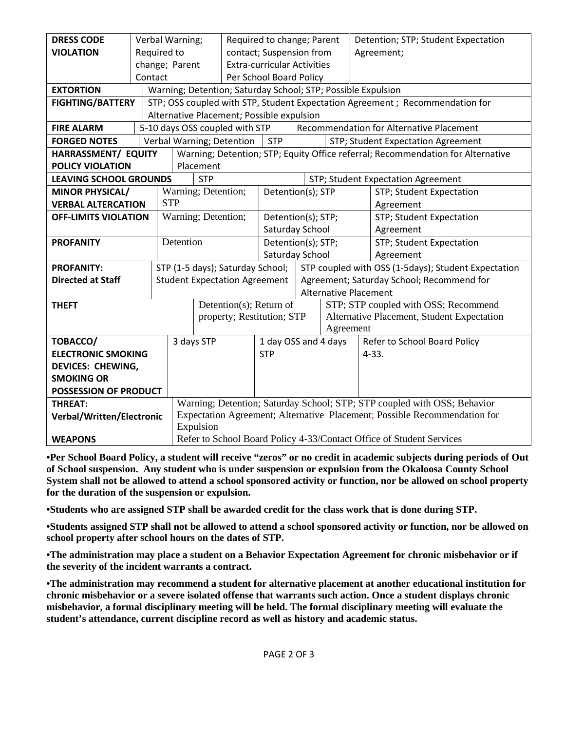| <b>DRESS CODE</b>                           |  | Verbal Warning; |                                                                                 |                                      | Required to change; Parent         |                                                              |           | Detention; STP; Student Expectation                 |  |  |
|---------------------------------------------|--|-----------------|---------------------------------------------------------------------------------|--------------------------------------|------------------------------------|--------------------------------------------------------------|-----------|-----------------------------------------------------|--|--|
| <b>VIOLATION</b>                            |  | Required to     |                                                                                 |                                      | contact; Suspension from           |                                                              |           | Agreement;                                          |  |  |
|                                             |  | change; Parent  |                                                                                 |                                      | <b>Extra-curricular Activities</b> |                                                              |           |                                                     |  |  |
|                                             |  | Contact         |                                                                                 |                                      | Per School Board Policy            |                                                              |           |                                                     |  |  |
| <b>EXTORTION</b>                            |  |                 |                                                                                 |                                      |                                    | Warning; Detention; Saturday School; STP; Possible Expulsion |           |                                                     |  |  |
| <b>FIGHTING/BATTERY</b>                     |  |                 | STP; OSS coupled with STP, Student Expectation Agreement ; Recommendation for   |                                      |                                    |                                                              |           |                                                     |  |  |
|                                             |  |                 | Alternative Placement; Possible expulsion                                       |                                      |                                    |                                                              |           |                                                     |  |  |
| <b>FIRE ALARM</b>                           |  |                 |                                                                                 | 5-10 days OSS coupled with STP       |                                    |                                                              |           | Recommendation for Alternative Placement            |  |  |
| <b>FORGED NOTES</b>                         |  |                 |                                                                                 | Verbal Warning; Detention            | <b>STP</b>                         |                                                              |           | STP; Student Expectation Agreement                  |  |  |
| HARRASSMENT/ EQUITY                         |  |                 | Warning; Detention; STP; Equity Office referral; Recommendation for Alternative |                                      |                                    |                                                              |           |                                                     |  |  |
| <b>POLICY VIOLATION</b>                     |  |                 | Placement                                                                       |                                      |                                    |                                                              |           |                                                     |  |  |
| <b>LEAVING SCHOOL GROUNDS</b>               |  | <b>STP</b>      |                                                                                 |                                      |                                    | STP; Student Expectation Agreement                           |           |                                                     |  |  |
| <b>MINOR PHYSICAL/</b>                      |  |                 |                                                                                 | Warning; Detention;                  |                                    | Detention(s); STP                                            |           | STP; Student Expectation                            |  |  |
| <b>STP</b><br><b>VERBAL ALTERCATION</b>     |  |                 |                                                                                 |                                      |                                    |                                                              |           | Agreement                                           |  |  |
| <b>OFF-LIMITS VIOLATION</b>                 |  |                 |                                                                                 | Warning; Detention;                  |                                    | Detention(s); STP;                                           |           | STP; Student Expectation                            |  |  |
|                                             |  |                 |                                                                                 |                                      | Saturday School                    |                                                              |           | Agreement                                           |  |  |
| <b>PROFANITY</b>                            |  |                 | Detention                                                                       |                                      | Detention(s); STP;                 |                                                              |           | STP; Student Expectation                            |  |  |
|                                             |  |                 |                                                                                 |                                      |                                    | Saturday School                                              |           | Agreement                                           |  |  |
| <b>PROFANITY:</b>                           |  |                 |                                                                                 | STP (1-5 days); Saturday School;     |                                    |                                                              |           | STP coupled with OSS (1-5days); Student Expectation |  |  |
| <b>Directed at Staff</b>                    |  |                 |                                                                                 | <b>Student Expectation Agreement</b> |                                    |                                                              |           | Agreement; Saturday School; Recommend for           |  |  |
|                                             |  |                 |                                                                                 |                                      |                                    |                                                              |           | <b>Alternative Placement</b>                        |  |  |
| <b>THEFT</b>                                |  |                 |                                                                                 | Detention(s); Return of              |                                    |                                                              |           | STP; STP coupled with OSS; Recommend                |  |  |
|                                             |  |                 |                                                                                 | property; Restitution; STP           |                                    |                                                              |           | Alternative Placement, Student Expectation          |  |  |
|                                             |  |                 |                                                                                 |                                      |                                    |                                                              | Agreement |                                                     |  |  |
| TOBACCO/                                    |  |                 |                                                                                 | 3 days STP                           |                                    | 1 day OSS and 4 days                                         |           | Refer to School Board Policy                        |  |  |
| <b>ELECTRONIC SMOKING</b>                   |  |                 |                                                                                 |                                      | <b>STP</b>                         |                                                              |           | $4 - 33.$                                           |  |  |
| <b>DEVICES: CHEWING,</b>                    |  |                 |                                                                                 |                                      |                                    |                                                              |           |                                                     |  |  |
| <b>SMOKING OR</b>                           |  |                 |                                                                                 |                                      |                                    |                                                              |           |                                                     |  |  |
| POSSESSION OF PRODUCT                       |  |                 | Warning; Detention; Saturday School; STP; STP coupled with OSS; Behavior        |                                      |                                    |                                                              |           |                                                     |  |  |
| <b>THREAT:</b><br>Verbal/Written/Electronic |  |                 | Expectation Agreement; Alternative Placement; Possible Recommendation for       |                                      |                                    |                                                              |           |                                                     |  |  |
|                                             |  |                 | Expulsion                                                                       |                                      |                                    |                                                              |           |                                                     |  |  |
| <b>WEAPONS</b>                              |  |                 | Refer to School Board Policy 4-33/Contact Office of Student Services            |                                      |                                    |                                                              |           |                                                     |  |  |
|                                             |  |                 |                                                                                 |                                      |                                    |                                                              |           |                                                     |  |  |

**•Per School Board Policy, a student will receive "zeros" or no credit in academic subjects during periods of Out of School suspension. Any student who is under suspension or expulsion from the Okaloosa County School System shall not be allowed to attend a school sponsored activity or function, nor be allowed on school property for the duration of the suspension or expulsion.** 

**•Students who are assigned STP shall be awarded credit for the class work that is done during STP.**

**•Students assigned STP shall not be allowed to attend a school sponsored activity or function, nor be allowed on school property after school hours on the dates of STP.**

**•The administration may place a student on a Behavior Expectation Agreement for chronic misbehavior or if the severity of the incident warrants a contract.**

**•The administration may recommend a student for alternative placement at another educational institution for chronic misbehavior or a severe isolated offense that warrants such action. Once a student displays chronic misbehavior, a formal disciplinary meeting will be held. The formal disciplinary meeting will evaluate the student's attendance, current discipline record as well as history and academic status.**